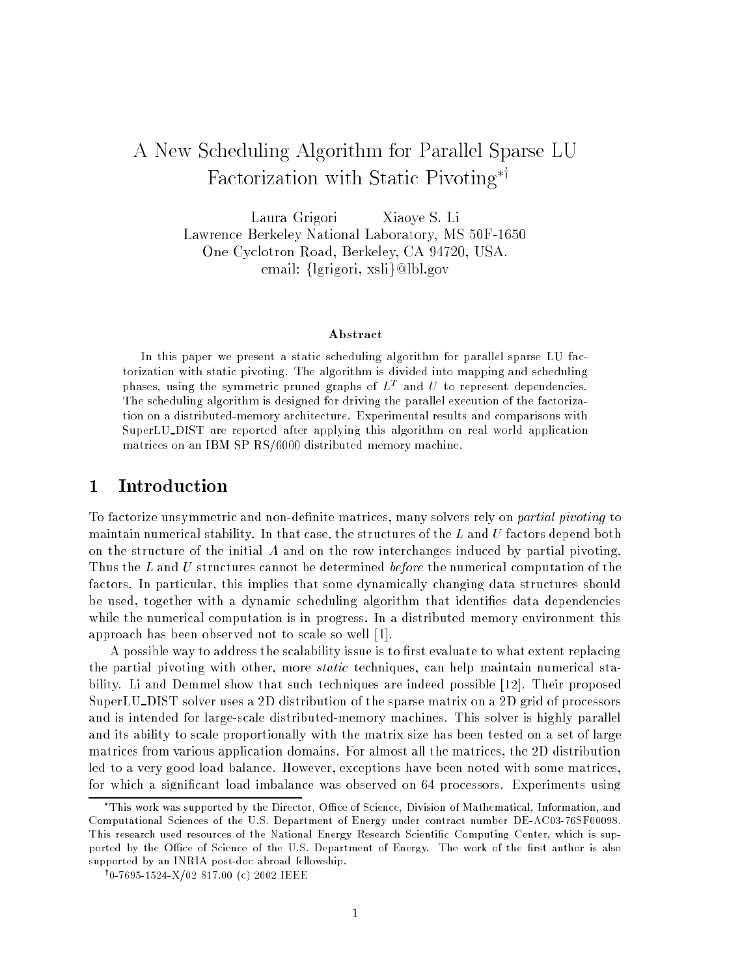# A New S
heduling Algorithm for Parallel Sparse LU Factorization with Static Pivoting<sup>\*†</sup>

Laura Grigori Xiaoye S. Li Lawren
e Berkeley National Laboratory, MS 50F-1650 One Cy
lotron Road, Berkeley, CA 94720, USA. email: {lgrigori, xsli}@lbl.gov

### Abstra
t

In this paper we present a static scheduling algorithm for parallel sparse LU factorization with static pivoting. The algorithm is divided into mapping and scheduling phases, using the symmetric pruned graphs of  $L^-$  and  $U$  to represent dependencies. The scheduling algorithm is designed for driving the parallel execution of the factorization on a distributed-memory ar
hite
ture. Experimental results and 
omparisons with SuperLU DIST are reported after applying this algorithm on real world appli
ation matri
es on an IBM SP RS/6000 distributed memory ma
hine.

### 1 Introduction

To factorize unsymmetric and non-definite matrices, many solvers rely on *partial pivoting* to maintain numerical stability. In that case, the structures of the L and U factors depend both on the structure of the initial A and on the row interchanges induced by partial pivoting. Thus the L and U structures cannot be determined *before* the numerical computation of the factors. In particular, this implies that some dynamically changing data structures should be used, together with a dynamic scheduling algorithm that identifies data dependencies while the numerical computation is in progress. In a distributed memory environment this approach has been observed not to scale so well [1].

A possible way to address the scalability issue is to first evaluate to what extent replacing the partial pivoting with other, more *static* techniques, can help maintain numerical stability. Li and Demmel show that such techniques are indeed possible  $[12]$ . Their proposed SuperLU DIST solver uses a 2D distribution of the sparse matrix on a 2D grid of pro
essors and is intended for large-s
ale distributed-memory ma
hines. This solver is highly parallel and its ability to scale proportionally with the matrix size has been tested on a set of large matri
es from various appli
ation domains. For almost all the matri
es, the 2D distribution led to a very good load balan
e. However, ex
eptions have been noted with some matri
es, for which a significant load imbalance was observed on 64 processors. Experiments using

<sup>-</sup>this work was supported by the Director, Omce of Science, Division of Mathematical, Information, and Computational Sciences of the U.S. Department of Energy under contract number DE-AC03-76SF00098. This research used resources of the National Energy Research Scientific Computing Center, which is supported by the Office of Science of the U.S. Department of Energy. The work of the first author is also supported by an INRIA post-do
 abroad fellowship.

<sup>y</sup> 0-7695-1524-X/02 \$17.00 (
) 2002 IEEE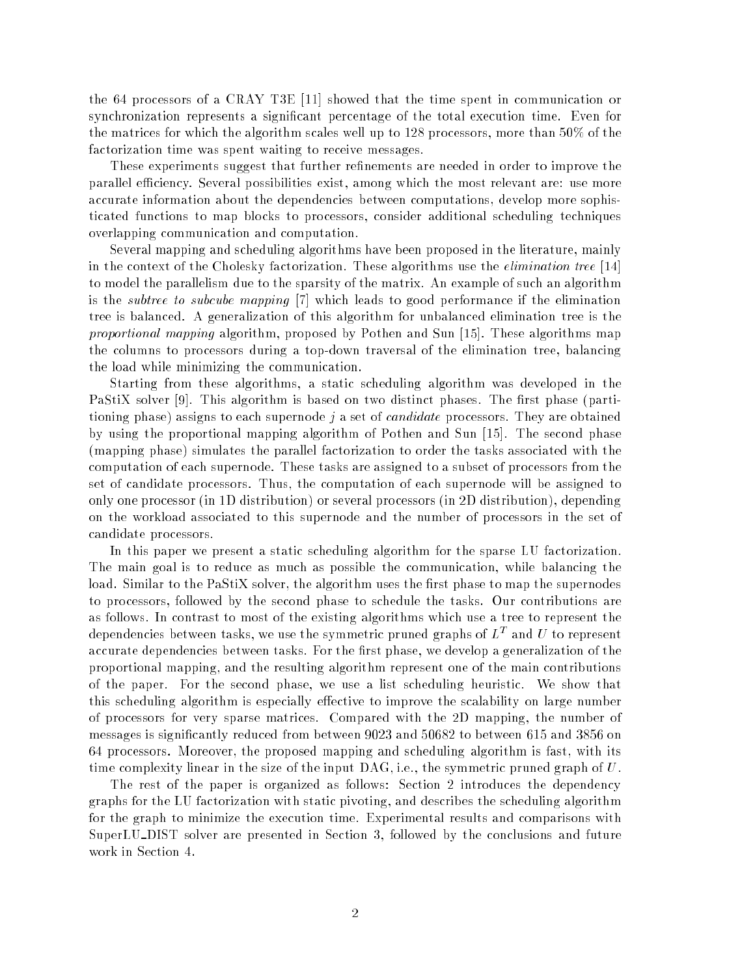the 64 processors of a CRAY T3E [11] showed that the time spent in communication or synchronization represents a significant percentage of the total execution time. Even for the matri
es for whi
h the algorithm s
ales well up to 128 pro
essors, more than 50% of the factorization time was spent waiting to receive messages.

These experiments suggest that further refinements are needed in order to improve the parallel efficiency. Several possibilities exist, among which the most relevant are: use more accurate information about the dependencies between computations, develop more sophisticated functions to map blocks to processors, consider additional scheduling techniques overlapping 
ommuni
ation and 
omputation.

Several mapping and s
heduling algorithms have been proposed in the literature, mainly in the context of the Cholesky factorization. These algorithms use the *elimination tree* [14] to model the parallelism due to the sparsity of the matrix. An example of such an algorithm is the *subtree to subcube mapping*  $[7]$  which leads to good performance if the elimination tree is balan
ed. A generalization of this algorithm for unbalan
ed elimination tree is the proportional mapping algorithm, proposed by Pothen and Sun  $[15]$ . These algorithms map the columns to processors during a top-down traversal of the elimination tree, balancing the load while minimizing the 
ommuni
ation.

Starting from these algorithms, a static scheduling algorithm was developed in the PaStiX solver  $[9]$ . This algorithm is based on two distinct phases. The first phase (partitioning phase) assigns to each supernode  $j$  a set of *candidate* processors. They are obtained by using the proportional mapping algorithm of Pothen and Sun [15]. The second phase (mapping phase) simulates the parallel factorization to order the tasks associated with the computation of each supernode. These tasks are assigned to a subset of processors from the set of 
andidate pro
essors. Thus, the omputation of ea
h supernode will be assigned to only one pro
essor (in 1D distribution) or several pro
essors (in 2D distribution), depending on the workload asso
iated to this supernode and the number of pro
essors in the set of andidate pro
essors.

In this paper we present a static scheduling algorithm for the sparse LU factorization. The main goal is to reduce as much as possible the communication, while balancing the load. Similar to the PaStiX solver, the algorithm uses the first phase to map the supernodes to pro
essors, followed by the se
ond phase to s
hedule the tasks. Our ontributions are as follows. In 
ontrast to most of the existing algorithms whi
h use a tree to represent the dependencies between tasks, we use the symmetric pruned graphs of  $L^\pm$  and  $U$  to represent accurate dependencies between tasks. For the first phase, we develop a generalization of the proportional mapping, and the resulting algorithm represent one of the main 
ontributions of the paper. For the se
ond phase, we use a list s
heduling heuristi
. We show that this scheduling algorithm is especially effective to improve the scalability on large number of pro
essors for very sparse matri
es. Compared with the 2D mapping, the number of messages is significantly reduced from between 9023 and 50682 to between 615 and 3856 on 64 pro
essors. Moreover, the proposed mapping and s
heduling algorithm is fast, with its time complexity linear in the size of the input  $\text{DAG}, i.e.,$  the symmetric pruned graph of U.

The rest of the paper is organized as follows: Section 2 introduces the dependency graphs for the LU factorization with static pivoting, and describes the scheduling algorithm for the graph to minimize the execution time. Experimental results and comparisons with SuperLU\_DIST solver are presented in Section 3, followed by the conclusions and future work in Se
tion 4.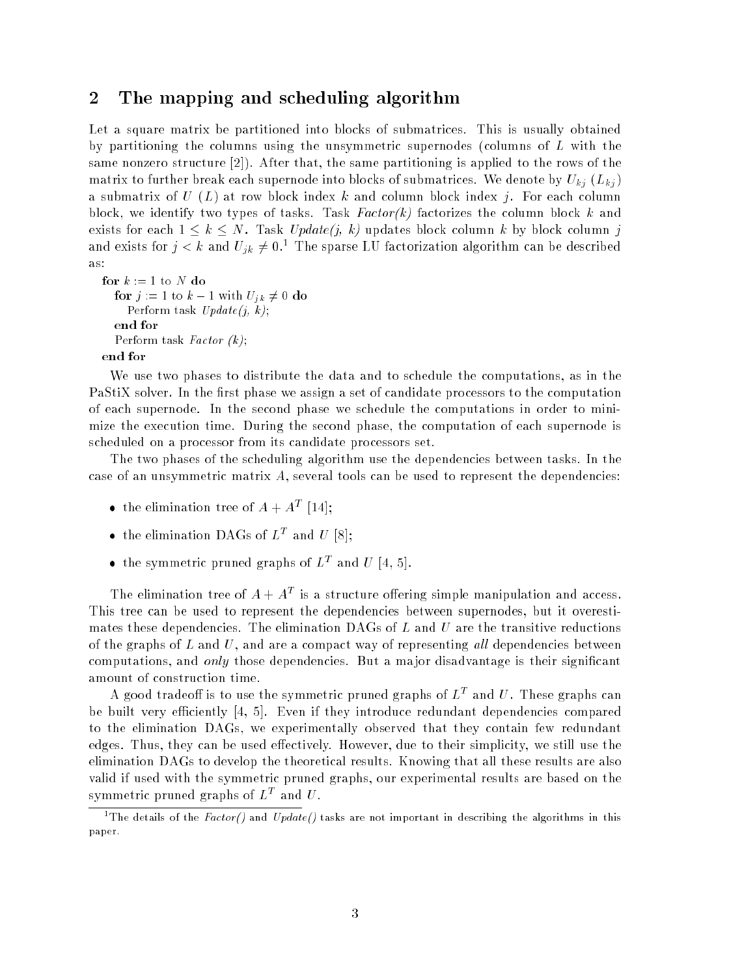#### 2The mapping and s
heduling algorithm

Let a square matrix be partitioned into blocks of submatrices. This is usually obtained by partitioning the columns using the unsymmetric supernodes (columns of  $L$  with the same nonzero structure  $[2]$ . After that, the same partitioning is applied to the rows of the matrix to further break each supernode into blocks of submatrices. We denote by  $U_{kj}$   $(L_{kj})$ a submatrix of  $U(L)$  at row block index k and column block index j. For each column block, we identify two types of tasks. Task  $Factor(k)$  factorizes the column block k and exists for each  $1 \leq k \leq N$ . Task Update(j, k) updates block column k by block column j and exists for  $j < \kappa$  and  $U_{ik} \neq 0.1$  . The sparse LU factorization algorithm can be described as:

for  $k := 1$  to N do for  $j := 1$  to  $k - 1$  with  $U_{jk} \neq 0$  do Perform task  $Update(j, k);$ end for Perform task  $Factor (k)$ ; end for

We use two phases to distribute the data and to schedule the computations, as in the PaStiX solver. In the first phase we assign a set of candidate processors to the computation of ea
h supernode. In the se
ond phase we s
hedule the omputations in order to minimize the execution time. During the second phase, the computation of each supernode is s
heduled on a pro
essor from its 
andidate pro
essors set.

The two phases of the s
heduling algorithm use the dependen
ies between tasks. In the case of an unsymmetric matrix  $A$ , several tools can be used to represent the dependencies:

- $\bullet$  the elimination tree of  $A + A^{\dagger}$  [14];
- $\bullet$  the enfinitiation DAGs of  $L^+$  and  $U$  [8];
- $\bullet$  the symmetric pruned graphs of  $L^-$  and  $U$  [4, 5].

The elimination tree of  $A + A<sup>-</sup>$  is a structure offering simple mampulation and access. This tree can be used to represent the dependencies between supernodes, but it overestimates these dependencies. The elimination DAGs of L and U are the transitive reductions of the graphs of  $L$  and  $U$ , and are a compact way of representing all dependencies between computations, and only those dependencies. But a major disadvantage is their significant amount of construction time.

A good tradeon is to use the symmetric pruned graphs of  $L^-$  and  $U$  . These graphs can be built very efficiently [4, 5]. Even if they introduce redundant dependencies compared to the elimination DAGs, we experimentally observed that they ontain few redundant edges. Thus, they can be used effectively. However, due to their simplicity, we still use the elimination DAGs to develop the theoretical results. Knowing that all these results are also valid if used with the symmetric pruned graphs, our experimental results are based on the symmetric pruned graphs of  $L^-$  and  $U$ .

The details of the *Factor()* and  $Update/$  tasks are not important in describing the algorithms in this paper.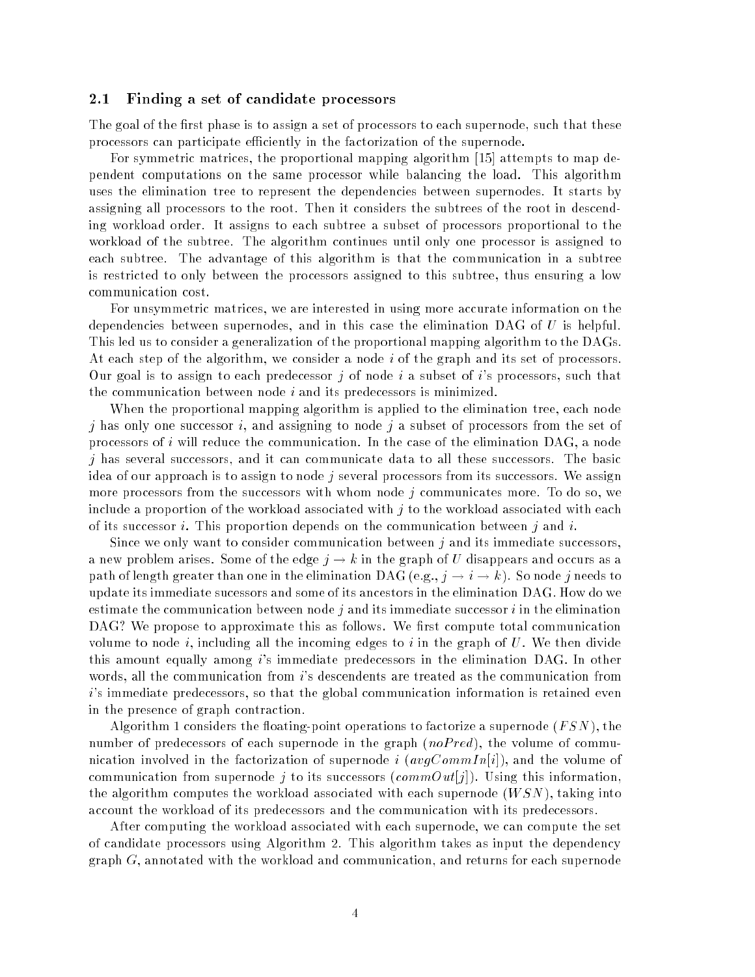#### 2.1Finding a set of candidate processors

The goal of the first phase is to assign a set of processors to each supernode, such that these pro
essors 
an parti
ipate eÆ
iently in the fa
torization of the supernode.

For symmetric matrices, the proportional mapping algorithm [15] attempts to map dependent omputations on the same pro
essor while balan
ing the load. This algorithm uses the elimination tree to represent the dependencies between supernodes. It starts by assigning all processors to the root. Then it considers the subtrees of the root in descending workload order. It assigns to ea
h subtree a subset of pro
essors proportional to the workload of the subtree. The algorithm continues until only one processor is assigned to each subtree. The advantage of this algorithm is that the communication in a subtree is restri
ted to only between the pro
essors assigned to this subtree, thus ensuring a low communication cost.

For unsymmetric matrices, we are interested in using more accurate information on the dependencies between supernodes, and in this case the elimination DAG of  $U$  is helpful. This led us to consider a generalization of the proportional mapping algorithm to the DAGs. At each step of the algorithm, we consider a node i of the graph and its set of processors. Our goal is to assign to each predecessor j of node i a subset of i's processors, such that the communication between node *i* and its predecessors is minimized.

When the proportional mapping algorithm is applied to the elimination tree, each node *j* has only one successor *i*, and assigning to node *j* a subset of processors from the set of pro
essors of i will redu
e the 
ommuni
ation. In the 
ase of the elimination DAG, a node  $i$  has several successors, and it can communicate data to all these successors. The basic idea of our approach is to assign to node  $j$  several processors from its successors. We assign more processors from the successors with whom node  $j$  communicates more. To do so, we include a proportion of the workload associated with  $j$  to the workload associated with each of its successor i. This proportion depends on the communication between j and i.

Since we only want to consider communication between  $j$  and its immediate successors, a new problem arises. Some of the edge  $j \to k$  in the graph of U disappears and occurs as a path of length greater than one in the elimination DAG (e.g.,  $j \to i \to k$ ). So node j needs to update its immediate su
essors and some of its an
estors in the elimination DAG. How do we estimate the communication between node j and its immediate successor i in the elimination DAG? We propose to approximate this as follows. We first compute total communication volume to node  $i$ , including all the incoming edges to  $i$  in the graph of U. We then divide this amount equally among i's immediate prede
essors in the elimination DAG. In other words, all the communication from *i*'s descendents are treated as the communication from i's immediate predecessors, so that the global communication information is retained even in the presen
e of graph 
ontra
tion.

Algorithm 1 considers the floating-point operations to factorize a supernode  $(FSN)$ , the number of predecessors of each supernode in the graph  $(nofred)$ , the volume of communication involved in the factorization of supernode i  $(avgCommIn[i])$ , and the volume of communication from supernode j to its successors (comm $Out[j]$ ). Using this information, the algorithm computes the workload associated with each supernode  $(WSN)$ , taking into account the workload of its predecessors and the communication with its predecessors.

After 
omputing the workload asso
iated with ea
h supernode, we 
an 
ompute the set of candidate processors using Algorithm 2. This algorithm takes as input the dependency  $graph G$ , annotated with the workload and communication, and returns for each supernode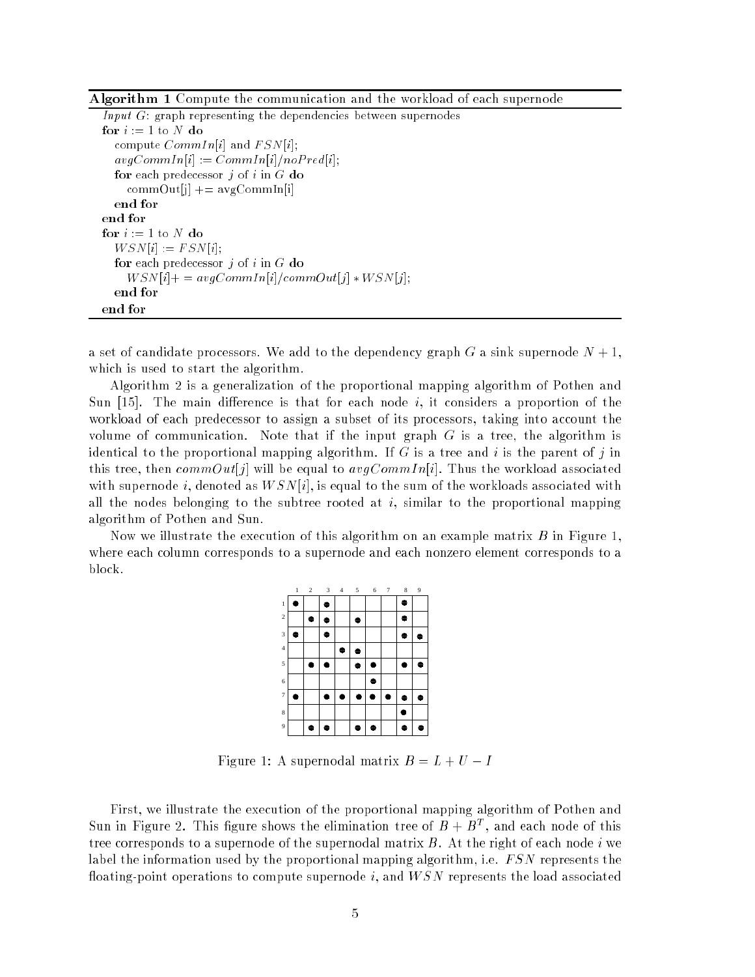Algorithm 1 Compute the communication and the workload of each supernode

```
Input G: graph representing the dependencies between supernodes
for i := 1 to N do
  compute CommIn[i] and FSN[i];
  avgCommIn[i] := CommIn[i]/noPred[i];for each predecessor j of i in G do
    \text{commOut}[j] += \text{avgCommIn}[i]end for
end for
for i := 1 to N do
  WSN[i] := FSN[i];for each predecessor j of i in G do
    WSN[i] + = avgCommIn[i]/commOut[j] * WSN[j];end for
end for
```
a set of candidate processors. We add to the dependency graph G a sink supernode  $N + 1$ , which is used to start the algorithm.

Algorithm 2 is a generalization of the proportional mapping algorithm of Pothen and Sun [15]. The main difference is that for each node i, it considers a proportion of the workload of each predecessor to assign a subset of its processors, taking into account the volume of communication. Note that if the input graph  $G$  is a tree, the algorithm is identical to the proportional mapping algorithm. If G is a tree and i is the parent of j in this tree, then  $commOut[j]$  will be equal to  $avgCommIn[i]$ . Thus the workload associated with supernode i, denoted as  $WSN[i]$ , is equal to the sum of the workloads associated with all the nodes belonging to the subtree rooted at  $i$ , similar to the proportional mapping algorithm of Pothen and Sun.

Now we illustrate the execution of this algorithm on an example matrix  $B$  in Figure 1, where each column corresponds to a supernode and each nonzero element corresponds to a blo
k.

|                | 1 | $\overline{c}$ | 3  | $\overline{4}$ | 5 | 6 | 7 | 8 | 9 |
|----------------|---|----------------|----|----------------|---|---|---|---|---|
| $\mathbf{I}$   |   |                |    |                |   |   |   |   |   |
| $\overline{c}$ |   | ٠              | ●  |                | ٠ |   |   |   |   |
| 3              |   |                | ٠  |                |   |   |   | ۰ | ٠ |
| $\overline{4}$ |   |                |    |                | ۰ |   |   |   |   |
| 5              |   |                |    |                | ٠ |   |   |   | ٠ |
| 6              |   |                |    |                |   | ٠ |   |   |   |
| $\overline{7}$ |   |                | ۰, | ٠              |   | ۰ | ۰ |   |   |
| 8              |   |                |    |                |   |   |   | ۸ |   |
| 9              |   |                | ٠  |                |   | ٠ |   |   |   |

Figure 1: A supernodal matrix  $B = L + U - I$ 

First, we illustrate the exe
ution of the proportional mapping algorithm of Pothen and Sun in Figure 2. This ngure shows the elimination tree of  $B + B^-$ , and each hode of this tree corresponds to a supernode of the supernodal matrix  $B$ . At the right of each node  $i$  we label the information used by the proportional mapping algorithm, i.e.  $FSN$  represents the floating-point operations to compute supernode i, and  $WSN$  represents the load associated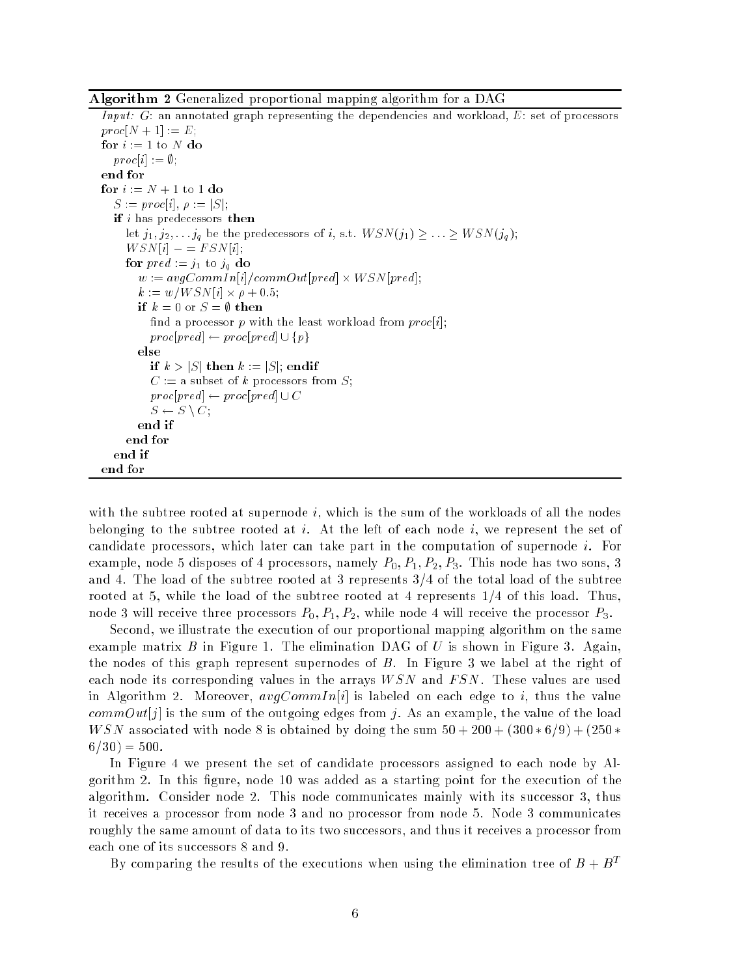Algorithm 2 Generalized proportional mapping algorithm for a DAG

Input:  $G$ : an annotated graph representing the dependencies and workload,  $E$ : set of processors  $proc[N + 1] := E;$ for  $i := 1$  to N do  $proc[i] := \emptyset;$ end for for  $i := N + 1$  to 1 do S := pro
[i℄, := jSj; if <sup>i</sup> has prede
essors then let  $j_1, j_2, \ldots, j_q$  be the predecessors of i, s.t.  $WSN(j_1) \geq \ldots \geq WSN(j_q)$  $WSN[i] - = FSN[i];$ for  $pred := j_1$  to  $j_q$  do w := we que omnore represented we preduce the preduction of k := w=W SN[i℄ - + 0:5; if  $k = 0$  or  $S = \emptyset$  then find a processor p with the least workload from  $proc[i];$  $\textit{proc}[\textit{pred}] \leftarrow \textit{proc}[\textit{pred}] \cup \{p\}$ else if  $k > |S|$  then  $k := |S|$ ; endif c : a subset of a professors from Side  $\mathit{proc}[\mathit{pred}] \leftarrow \mathit{proc}[\mathit{pred}] \cup C$ S S <sup>n</sup> C; end if end for end if end for

with the subtree rooted at supernode  $i$ , which is the sum of the workloads of all the nodes belonging to the subtree rooted at i. At the left of each node i, we represent the set of candidate processors, which later can take part in the computation of supernode i. For example, node 5 disposes of 4 processors, namely  $P_0, P_1, P_2, P_3$ . This node has two sons, 3 and 4. The load of the subtree rooted at 3 represents  $3/4$  of the total load of the subtree rooted at 5, while the load of the subtree rooted at 4 represents  $1/4$  of this load. Thus, node 3 will receive three processors  $P_0, P_1, P_2$ , while node 4 will receive the processor  $P_3$ .

Second, we illustrate the execution of our proportional mapping algorithm on the same example matrix  $B$  in Figure 1. The elimination DAG of  $U$  is shown in Figure 3. Again, the nodes of this graph represent supernodes of  $B$ . In Figure 3 we label at the right of each node its corresponding values in the arrays WSN and FSN. These values are used in Algorithm 2. Moreover,  $avgCommIn[i]$  is labeled on each edge to i, thus the value commOut[j] is the sum of the outgoing edges from j. As an example, the value of the load WSN associated with node 8 is obtained by doing the sum  $50 + 200 + (300 * 6/9) + (250 *$  $6/30$  = 500.

In Figure 4 we present the set of candidate processors assigned to each node by Algorithm 2. In this figure, node 10 was added as a starting point for the execution of the algorithm. Consider node 2. This node communicates mainly with its successor 3, thus it re
eives a pro
essor from node 3 and no pro
essor from node 5. Node 3 ommuni
ates roughly the same amount of data to its two successors, and thus it receives a processor from each one of its successors 8 and 9.

By comparing the results of the executions when using the elimination tree of  $B + B^T$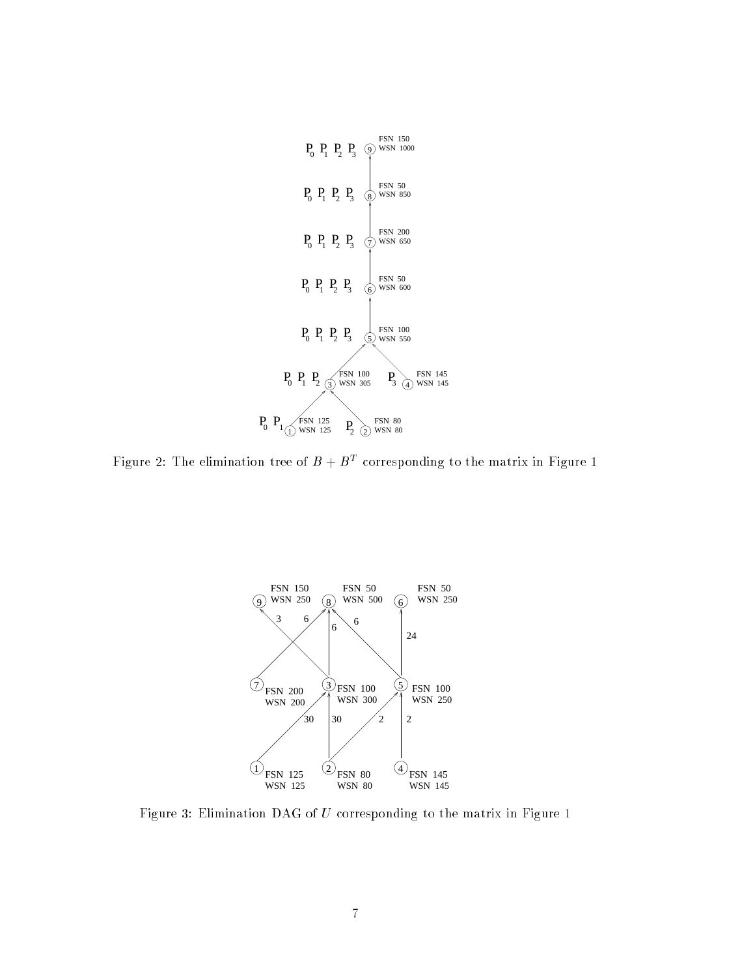

Figure 2: The elimination tree of  $D + D<sup>+</sup>$  corresponding to the matrix in Figure 1



Figure 3: Elimination DAG of U corresponding to the matrix in Figure 1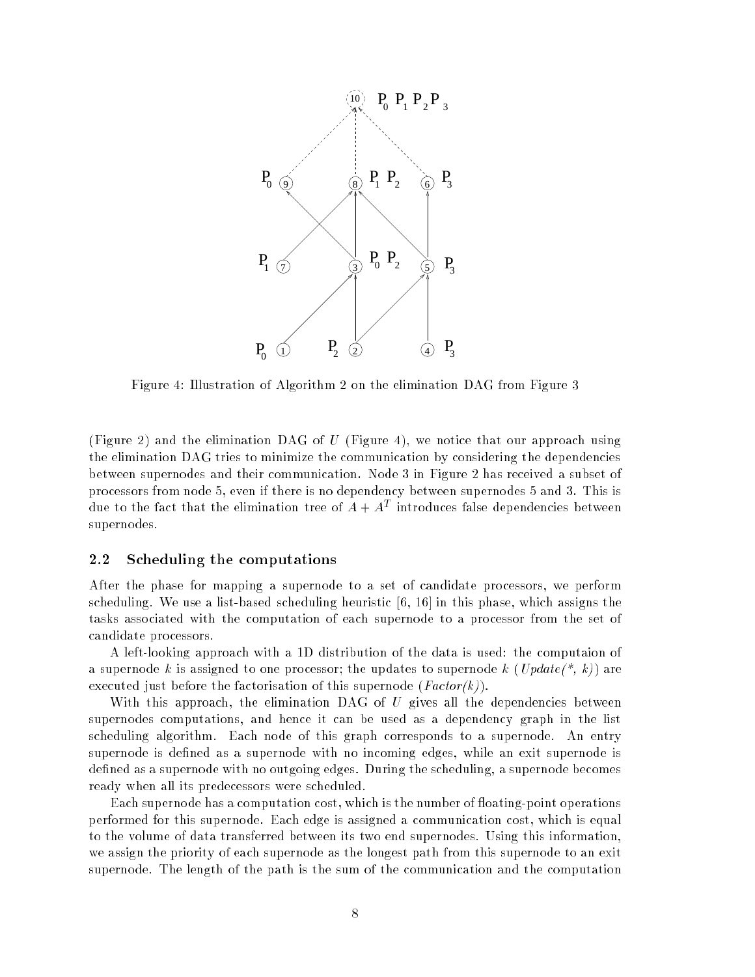

Figure 4: Illustration of Algorithm 2 on the elimination DAG from Figure 3

(Figure 2) and the elimination DAG of  $U$  (Figure 4), we notice that our approach using the elimination DAG tries to minimize the 
ommuni
ation by 
onsidering the dependen
ies between supernodes and their 
ommuni
ation. Node 3 in Figure 2 has re
eived a subset of processors from node 5, even if there is no dependency between supernodes 5 and 3. This is due to the fact that the enfinitiation tree of  $A + A^+$  introduces false dependencies between supernodes.

#### 2.2S
heduling the omputations

After the phase for mapping a supernode to a set of candidate processors, we perform scheduling. We use a list-based scheduling heuristic  $[6, 16]$  in this phase, which assigns the tasks asso
iated with the omputation of ea
h supernode to a pro
essor from the set of andidate pro
essors.

A left-looking approa
h with a 1D distribution of the data is used: the omputaion of a supernode k is assigned to one processor; the updates to supernode k (Update(\*, k)) are executed just before the factorisation of this supernode  $(Factor(k))$ .

With this approach, the elimination DAG of U gives all the dependencies between supernodes computations, and hence it can be used as a dependency graph in the list scheduling algorithm. Each node of this graph corresponds to a supernode. An entry supernode is defined as a supernode with no incoming edges, while an exit supernode is defined as a supernode with no outgoing edges. During the scheduling, a supernode becomes ready when all its prede
essors were s
heduled.

Each supernode has a computation cost, which is the number of floating-point operations performed for this supernode. Each edge is assigned a communication cost, which is equal to the volume of data transferred between its two end supernodes. Using this information, we assign the priority of each supernode as the longest path from this supernode to an exit supernode. The length of the path is the sum of the communication and the computation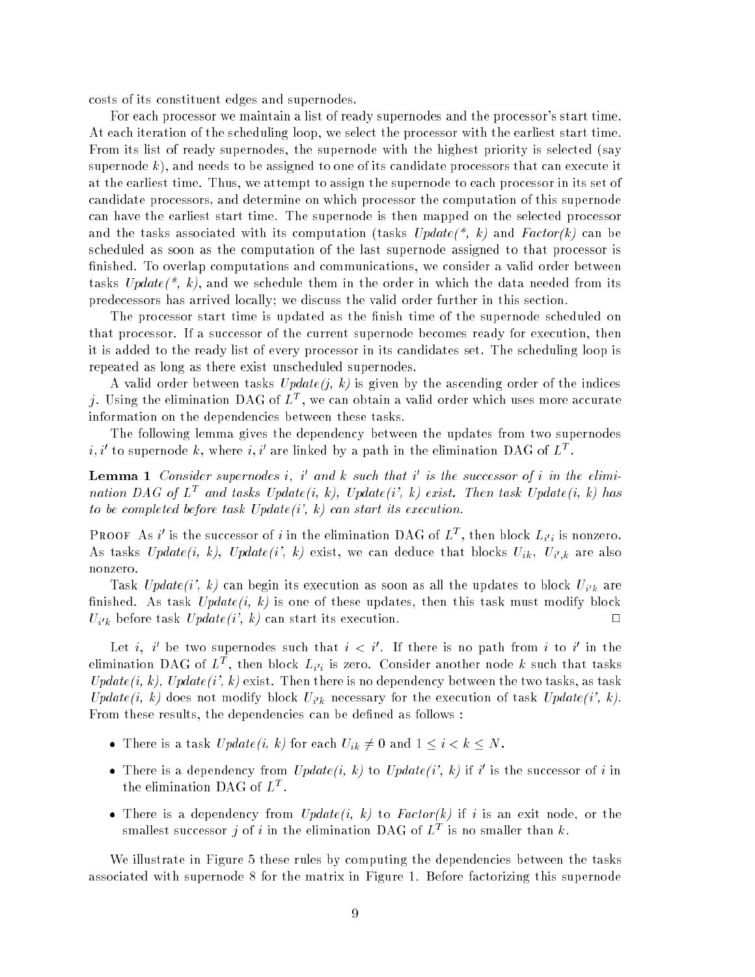osts of its 
onstituent edges and supernodes.

For ea
h pro
essor we maintain a list of ready supernodes and the pro
essor's start time. At each iteration of the scheduling loop, we select the processor with the earliest start time. From its list of ready supernodes, the supernode with the highest priority is selected (say supernode  $k$ ), and needs to be assigned to one of its candidate processors that can execute it at the earliest time. Thus, we attempt to assign the supernode to each processor in its set of andidate pro
essors, and determine on whi
h pro
essor the 
omputation of this supernode can have the earliest start time. The supernode is then mapped on the selected processor and the tasks associated with its computation (tasks  $Update(*, k)$  and  $Factor(k)$  can be scheduled as soon as the computation of the last supernode assigned to that processor is finished. To overlap computations and communications, we consider a valid order between tasks  $Update(*, k)$ , and we schedule them in the order in which the data needed from its prede
essors has arrived lo
ally; we dis
uss the valid order further in this se
tion.

The processor start time is updated as the finish time of the supernode scheduled on that processor. If a successor of the current supernode becomes ready for execution, then it is added to the ready list of every pro
essor in its 
andidates set. The s
heduling loop is repeated as long as there exist uns
heduled supernodes.

A valid order between tasks  $Update(j, k)$  is given by the ascending order of the indices  $\eta$  . Using the elimination DAG of  $L^+$  , we can obtain a valid order which uses more accurate information on the dependencies between these tasks.

The following lemma gives the dependency between the updates from two supernodes  $i,i$  to supernode  $\kappa,$  where  $i,i$  are linked by a path in the elimination DAG of  $L^*$  .

**Lemma** 1 Consider supernodes i, i and k such that i is the successor of i in the etimination DAG of  $L^1$  and tasks Update(i, k), Update(i', k) exist. Then task Update(i, k) has to be completed before task  $Update(i', k)$  can start its execution.

**FROOF** As t is the successor of t in the enfinitation DAG of  $L^2$ , then block  $L_i^q$  is nonzero. As tasks  $Update(i, k), Update(i, k)$  exist, we can deduce that blocks  $U_{ik}, U_{i',k}$  are also nonzero.

Task Update(i', k) can begin its execution as soon as all the updates to block  $U_{i'k}$  are finished. As task  $Update(i, k)$  is one of these updates, then this task must modify block  $U_{i'k}$  before task  $Update(i', k)$  can start its execution.

Let  $i$ ,  $i$  be two supernodes such that  $i$   $<$   $i$  . If there is no path from  $i$  to  $i$  in the elimination DAG of  $L^+$ , then block  $L_{i'i}$  is zero. Consider another hode  $\kappa$  such that tasks Update(i, k), Update(i', k) exist. Then there is no dependency between the two tasks, as task Update(i, k) does not modify block  $U_{i'k}$  necessary for the execution of task Update(i', k). From these results, the dependencies can be defined as follows :

- There is a task  $Update(i, k)$  for each  $U_{ik} \neq 0$  and  $1 \leq i < k \leq N$ .
- There is a dependency from  $Update(i, k)$  to  $Update(i, k)$  if i' is the successor of i in the elimination DAG of  $L^{\pi}$ .
- There is a dependency from  $Update(i, k)$  to  $Factor(k)$  if i is an exit node, or the sinaliest successor  $\gamma$  of  $i$  in the elimination DAG of  $L^-$  is no smaller than  $\kappa$ .

We illustrate in Figure 5 these rules by computing the dependencies between the tasks asso
iated with supernode 8 for the matrix in Figure 1. Before fa
torizing this supernode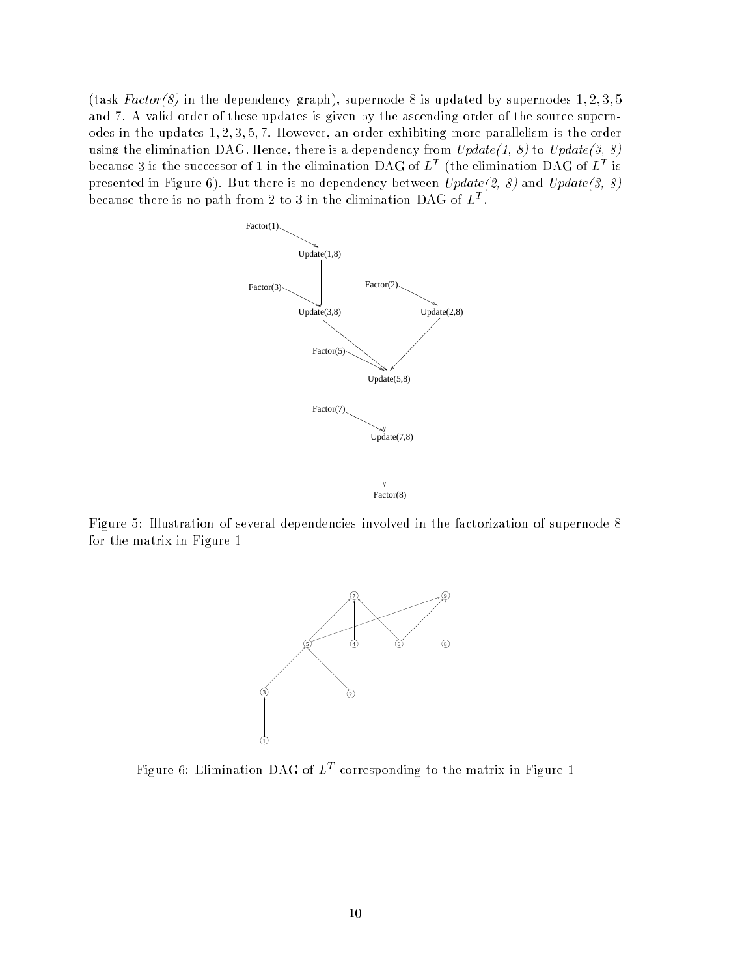(task  $Factor(8)$  in the dependency graph), supernode 8 is updated by supernodes 1, 2, 3, 5 and 7. A valid order of these updates is given by the as
ending order of the sour
e supernodes in the updates 1; 2; 3; 5; 7. However, an order exhibiting more parallelism is the order using the elimination DAG. Hence, there is a dependency from  $Update(1, 8)$  to  $Update(3, 8)$ because 5 is the successor of 1 in the enimination DAG of  $L^-$  (the enimination DAG of  $L^-$  is presented in Figure 6). But there is no dependency between  $Update(2, 8)$  and  $Update(3, 8)$ because there is no path from 2 to 3 in the elimination DAG of  $L^2$ .



Figure 5: Illustration of several dependencies involved in the factorization of supernode 8 for the matrix in Figure 1



Figure o: Elimination DAG of  $L^+$  corresponding to the matrix in Figure 1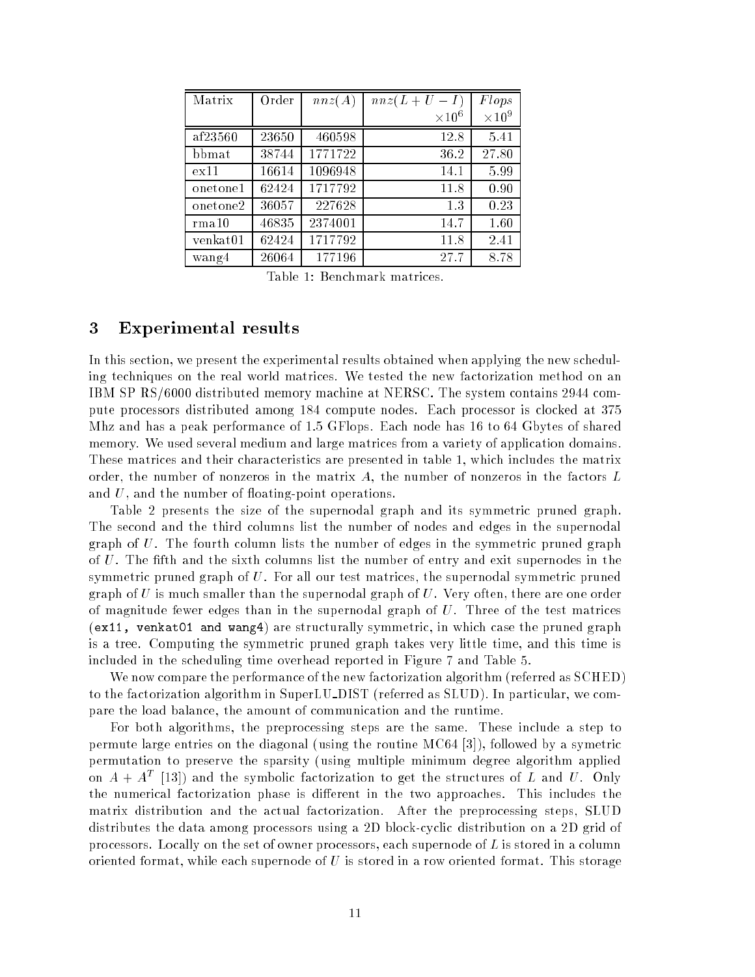| Matrix               | Order | nnz(A)  | $nnz(L+U-I)$  | Flops         |
|----------------------|-------|---------|---------------|---------------|
|                      |       |         | $\times 10^6$ | $\times 10^9$ |
| af23560              | 23650 | 460598  | 12.8          | 5.41          |
| bbmat                | 38744 | 1771722 | 36.2          | 27.80         |
| ex11                 | 16614 | 1096948 | 14.1          | 5.99          |
| onetone1             | 62424 | 1717792 | 11.8          | 0.90          |
| onetone <sub>2</sub> | 36057 | 227628  | 1.3           | 0.23          |
| rma10                | 46835 | 2374001 | 14.7          | 1.60          |
| venkat01             | 62424 | 1717792 | 11.8          | 2.41          |
| wang4                | 26064 | 177196  | 27.7          | 8.78          |

Table 1: Ben
hmark matri
es.

#### 3Experimental results

In this section, we present the experimental results obtained when applying the new scheduling te
hniques on the real world matri
es. We tested the new fa
torization method on an IBM SP RS/6000 distributed memory machine at NERSC. The system contains 2944 compute pro
essors distributed among 184 ompute nodes. Ea
h pro
essor is lo
ked at 375 Mhz and has a peak performan
e of 1:5 GFlops. Ea
h node has 16 to 64 Gbytes of shared memory. We used several medium and large matrices from a variety of application domains. These matrices and their characteristics are presented in table 1, which includes the matrix order, the number of nonzeros in the matrix  $A$ , the number of nonzeros in the factors  $L$ and  $U$ , and the number of floating-point operations.

Table 2 presents the size of the supernodal graph and its symmetric pruned graph. The se
ond and the third olumns list the number of nodes and edges in the supernodal graph of  $U$ . The fourth column lists the number of edges in the symmetric pruned graph of U. The fth and the sixth 
olumns list the number of entry and exit supernodes in the symmetric pruned graph of  $U$ . For all our test matrices, the supernodal symmetric pruned graph of U is much smaller than the supernodal graph of  $U$ . Very often, there are one order of magnitude fewer edges than in the supernodal graph of  $U$ . Three of the test matrices (ex11, venkat01 and wang4) are stru
turally symmetri
, in whi
h 
ase the pruned graph is a tree. Computing the symmetric pruned graph takes very little time, and this time is in
luded in the s
heduling time overhead reported in Figure 7 and Table 5.

We now 
ompare the performan
e of the new fa
torization algorithm (referred as SCHED) to the factorization algorithm in SuperLU\_DIST (referred as SLUD). In particular, we compare the load balan
e, the amount of 
ommuni
ation and the runtime.

For both algorithms, the preprocessing steps are the same. These include a step to permute large entries on the diagonal (using the routine  $MC64$  [3]), followed by a symetric permutation to preserve the sparsity (using multiple minimum degree algorithm applied on  $A + A^*$  [13]) and the symbolic factorization to get the structures of  $L$  and  $U$ . Only the numerical factorization phase is different in the two approaches. This includes the matrix distribution and the actual factorization. After the preprocessing steps, SLUD distributes the data among processors using a 2D block-cyclic distribution on a 2D grid of processors. Locally on the set of owner processors, each supernode of L is stored in a column oriented format, while each supernode of  $U$  is stored in a row oriented format. This storage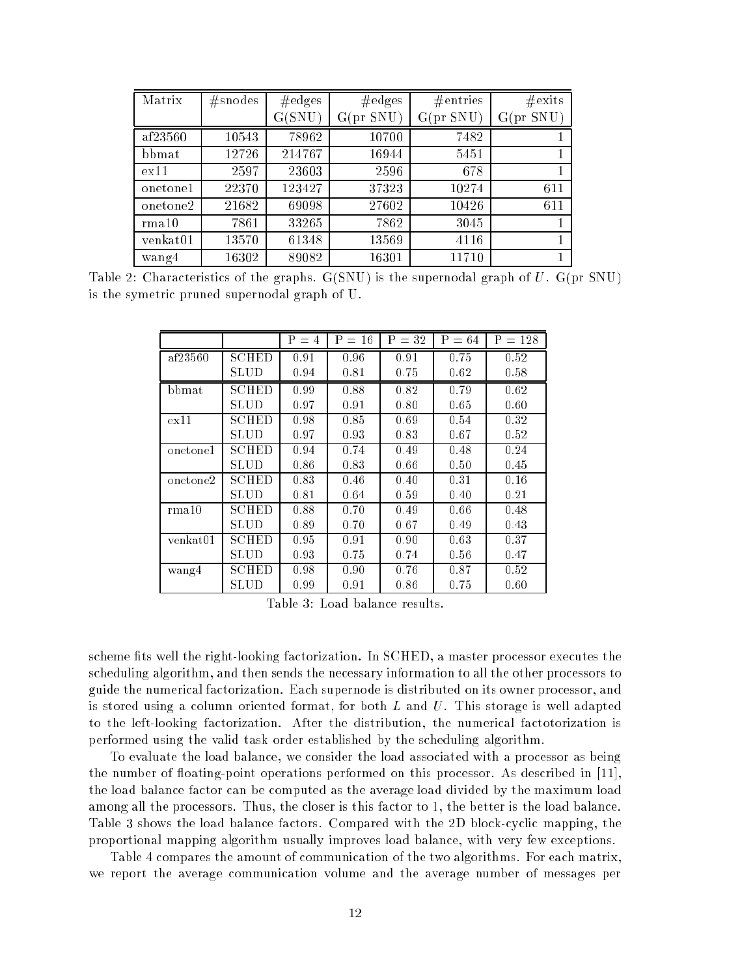| Matrix               | $# \text{snodes}$ | $\#edges$ | $\#edges$ | $#$ entries | #exists   |
|----------------------|-------------------|-----------|-----------|-------------|-----------|
|                      |                   | G(SNU)    | G(pr SNU) | G(pr SNU)   | G(pr SNU) |
| af23560              | 10543             | 78962     | 10700     | 7482        |           |
| bbmat                | 12726             | 214767    | 16944     | 5451        |           |
| ex11                 | 2597              | 23603     | 2596      | 678         |           |
| onetone1             | 22370             | 123427    | 37323     | 10274       | 611       |
| onetone <sub>2</sub> | 21682             | 69098     | 27602     | 10426       | 611       |
| $r$ ma $10$          | 7861              | 33265     | 7862      | 3045        |           |
| venkat01             | 13570             | 61348     | 13569     | 4116        |           |
| wang4                | 16302             | 89082     | 16301     | 11710       |           |

Table 2: Characteristics of the graphs.  $G(SNU)$  is the supernodal graph of  $U$ .  $G(pr SNU)$ is the symetric pruned supernodal graph of U.

|                |              | $P = 4$ | $P = 16$ | $P = 32$ | $P = 64$ | P<br>$= 128$ |
|----------------|--------------|---------|----------|----------|----------|--------------|
| af23560        | <b>SCHED</b> | 0.91    | 0.96     | 0.91     | 0.75     | 0.52         |
|                | SLUD         | 0.94    | 0.81     | 0.75     | 0.62     | 0.58         |
| $_{\rm bbmat}$ | SCHED        | 0.99    | 0.88     | 0.82     | 0.79     | 0.62         |
|                | <b>SLUD</b>  | 0.97    | 0.91     | 0.80     | 0.65     | 0.60         |
| ex11           | SCHED        | 0.98    | 0.85     | 0.69     | 0.54     | 0.32         |
|                | SLUD         | 0.97    | 0.93     | 0.83     | 0.67     | 0.52         |
| onetone1       | <b>SCHED</b> | 0.94    | 0.74     | 0.49     | 0.48     | 0.24         |
|                | SLUD         | 0.86    | 0.83     | 0.66     | 0.50     | 0.45         |
| onetone2       | SCHED        | 0.83    | 0.46     | 0.40     | 0.31     | 0.16         |
|                | SLUD         | 0.81    | 0.64     | 0.59     | 0.40     | 0.21         |
| rma10          | SCHED        | 0.88    | 0.70     | 0.49     | 0.66     | 0.48         |
|                | SLUD         | 0.89    | 0.70     | 0.67     | 0.49     | 0.43         |
| venkat01       | SCHED        | 0.95    | 0.91     | 0.90     | 0.63     | 0.37         |
|                | <b>SLUD</b>  | 0.93    | 0.75     | 0.74     | 0.56     | 0.47         |
| wang4          | SCHED        | 0.98    | 0.90     | 0.76     | 0.87     | 0.52         |
|                | SLUD         | 0.99    | 0.91     | 0.86     | 0.75     | 0.60         |

Table 3: Load balan
e results.

scheme fits well the right-looking factorization. In SCHED, a master processor executes the scheduling algorithm, and then sends the necessary information to all the other processors to guide the numerical factorization. Each supernode is distributed on its owner processor, and is stored using a column oriented format, for both  $L$  and  $U$ . This storage is well adapted to the left-looking factorization. After the distribution, the numerical factotorization is performed using the valid task order established by the s
heduling algorithm.

To evaluate the load balan
e, we 
onsider the load asso
iated with a pro
essor as being the number of floating-point operations performed on this processor. As described in [11], the load balan
e fa
tor 
an be 
omputed as the average load divided by the maximum load among all the processors. Thus, the closer is this factor to 1, the better is the load balance. Table 3 shows the load balance factors. Compared with the 2D block-cyclic mapping, the proportional mapping algorithm usually improves load balan
e, with very few ex
eptions.

Table 4 compares the amount of communication of the two algorithms. For each matrix, we report the average ommuni
ation volume and the average number of messages per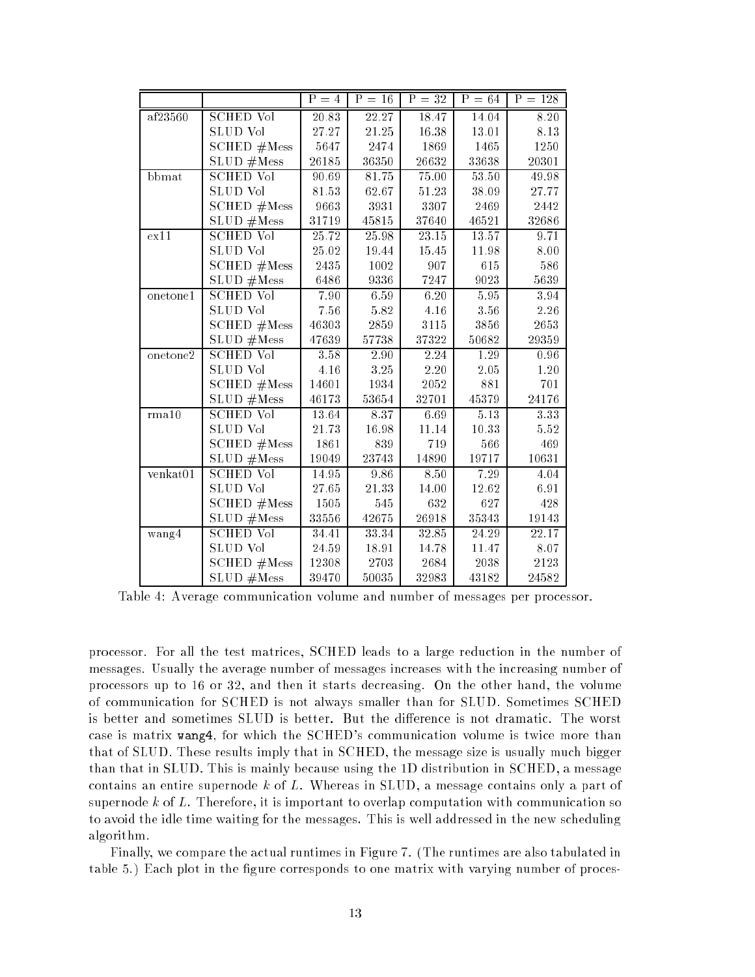|                    |                  | $\overline{P=4}$   | $P = 16$ | $P = 32$ | $P = 64$          | $P = 128$ |
|--------------------|------------------|--------------------|----------|----------|-------------------|-----------|
| af23560            | <b>SCHED Vol</b> | 20.83              | 22.27    | 18.47    | 14.04             | 8.20      |
|                    | SLUD Vol         | 27.27              | 21.25    | 16.38    | 13.01             | 8.13      |
|                    | $SCHED$ #Mess    | 5647               | 2474     | 1869     | 1465              | 1250      |
|                    | $SLUD \#Mess$    | 26185              | 36350    | 26632    | 33638             | 20301     |
| bbmat              | <b>SCHED Vol</b> | 90.69              | 81.75    | 75.00    | 53.50             | 49.98     |
|                    | SLUD Vol         | 81.53              | 62.67    | 51.23    | 38.09             | 27.77     |
|                    | $SCHED$ #Mess    | 9663               | 3931     | 3307     | 2469              | 2442      |
|                    | $SLUD \#Mess$    | 31719              | 45815    | 37640    | 46521             | 32686     |
| ex11               | <b>SCHED Vol</b> | $\overline{25.72}$ | 25.98    | 23.15    | 13.57             | 9.71      |
|                    | SLUD Vol         | $25.02\,$          | 19.44    | 15.45    | 11.98             | $8.00\,$  |
|                    | $SCHED$ #Mess    | 2435               | 1002     | 907      | 615               | 586       |
|                    | $SLUD \#Mess$    | 6486               | 9336     | 7247     | 9023              | 5639      |
| onetonel           | <b>SCHED Vol</b> | 7.90               | 6.59     | 6.20     | 5.95              | 3.94      |
|                    | SLUD Vol         | 7.56               | 5.82     | 4.16     | 3.56              | 2.26      |
|                    | $SCHED$ #Mess    | 46303              | 2859     | $3\,115$ | 3856              | 2653      |
|                    | $SLUD \# Mess$   | 47639              | 57738    | 37322    | 50682             | 29359     |
| onetone2           | <b>SCHED Vol</b> | 3.58               | 2.90     | 2.24     | 1.29              | 0.96      |
|                    | SLUD Vol         | 4.16               | $3.25\,$ | 2.20     | 2.05              | 1.20      |
|                    | $SCHED$ #Mess    | 14601              | 1934     | 2052     | 881               | 701       |
|                    | $SLUD \#Mess$    | 46173              | 53654    | 32701    | 45379             | 24176     |
| $rma1\overline{0}$ | <b>SCHED Vol</b> | 13.64              | 8.37     | 6.69     | $\overline{5.13}$ | 3.33      |
|                    | SLUD Vol         | 21.73              | 16.98    | 11.14    | 10.33             | 5.52      |
|                    | $SCHED$ #Mess    | 1861               | 839      | 719      | 566               | 469       |
|                    | $SLUD \#Mess$    | 19049              | 23743    | 14890    | 19717             | 10631     |
| venkat01           | <b>SCHED Vol</b> | 14.95              | 9.86     | 8.50     | 7.29              | 4.04      |
|                    | SLUD Vol         | 27.65              | 21.33    | 14.00    | 12.62             | 6.91      |
|                    | $SCHED$ #Mess    | 1505               | 545      | 632      | 627               | 428       |
|                    | $SLUD \#Mess$    | 33556              | 42675    | 26918    | 35343             | 19143     |
| wang4              | <b>SCHED Vol</b> | 34.41              | 33.34    | 32.85    | 24.29             | 22.17     |
|                    | SLUD Vol         | 24.59              | 18.91    | 14.78    | 11.47             | 8.07      |
|                    | $SCHED$ #Mess    | $12308\,$          | 2703     | 2684     | 2038              | 2123      |
|                    | $SLUD \#Mess$    | 39470              | 50035    | 32983    | 43182             | 24582     |

Table 4: Average 
ommuni
ation volume and number of messages per pro
essor.

pro
essor. For all the test matri
es, SCHED leads to a large redu
tion in the number of messages. Usually the average number of messages increases with the increasing number of processors up to 16 or 32, and then it starts decreasing. On the other hand, the volume of ommuni
ation for SCHED is not always smaller than for SLUD. Sometimes SCHED is better and sometimes SLUD is better. But the difference is not dramatic. The worst case is matrix wang4, for which the SCHED's communication volume is twice more than that of SLUD. These results imply that in SCHED, the message size is usually mu
h bigger than that in SLUD. This is mainly be
ause using the 1D distribution in SCHED, a message contains an entire supernode  $k$  of  $L$ . Whereas in SLUD, a message contains only a part of supernode  $k$  of  $L$ . Therefore, it is important to overlap computation with communication so to avoid the idle time waiting for the messages. This is well addressed in the new s
heduling algorithm.

Finally, we 
ompare the a
tual runtimes in Figure 7. (The runtimes are also tabulated in table 5.) Each plot in the figure corresponds to one matrix with varying number of proces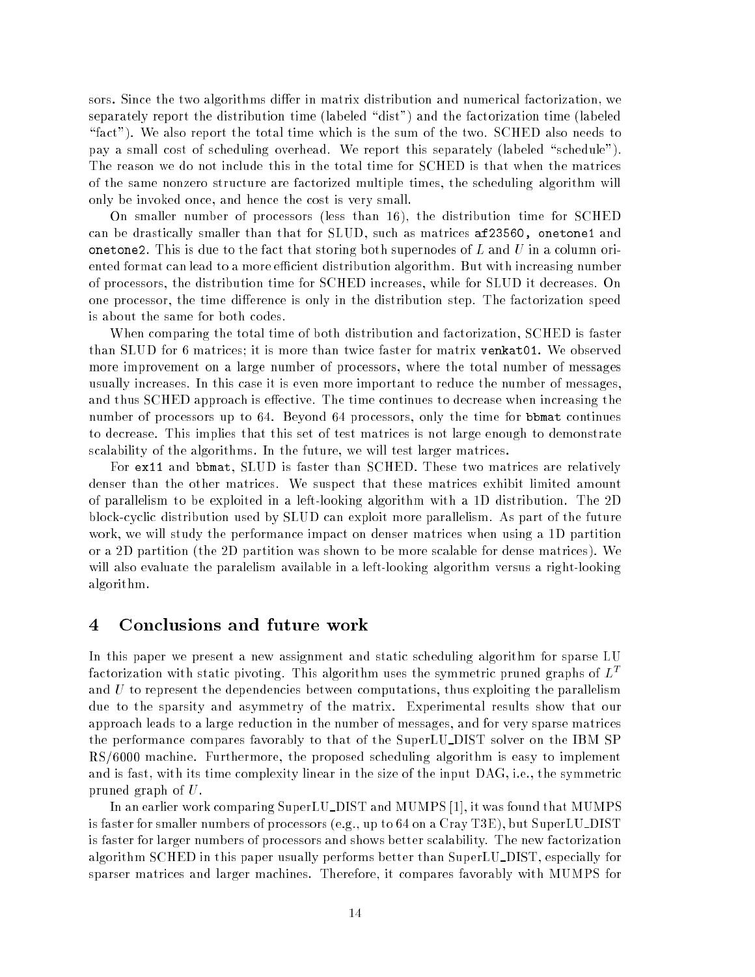sors. Since the two algorithms differ in matrix distribution and numerical factorization, we separately report the distribution time (labeled "dist") and the factorization time (labeled "fact"). We also report the total time which is the sum of the two. SCHED also needs to pay a small cost of scheduling overhead. We report this separately (labeled "schedule"). The reason we do not include this in the total time for SCHED is that when the matrices of the same nonzero stru
ture are fa
torized multiple times, the s
heduling algorithm will only be invoked on
e, and hen
e the 
ost is very small.

On smaller number of pro
essors (less than 16), the distribution time for SCHED can be drastically smaller than that for SLUD, such as matrices af23560, onetone1 and onetone2. This is due to the fact that storing both supernodes of  $L$  and  $U$  in a column oriented format can lead to a more efficient distribution algorithm. But with increasing number of pro
essors, the distribution time for SCHED in
reases, while for SLUD it de
reases. On one processor, the time difference is only in the distribution step. The factorization speed is about the same for both 
odes.

When comparing the total time of both distribution and factorization, SCHED is faster than SLUD for 6 matri
es; it is more than twi
e faster for matrix venkat01. We observed more improvement on a large number of pro
essors, where the total number of messages usually increases. In this case it is even more important to reduce the number of messages, and thus SCHED approach is effective. The time continues to decrease when increasing the number of processors up to 64. Beyond 64 processors, only the time for bbmat continues to de
rease. This implies that this set of test matri
es is not large enough to demonstrate s
alability of the algorithms. In the future, we will test larger matri
es.

For ex11 and bbmat, SLUD is faster than SCHED. These two matrices are relatively denser than the other matri
es. We suspe
t that these matri
es exhibit limited amount of parallelism to be exploited in a left-looking algorithm with a 1D distribution. The 2D block-cyclic distribution used by SLUD can exploit more parallelism. As part of the future work, we will study the performan
e impa
t on denser matri
es when using a 1D partition or a 2D partition (the 2D partition was shown to be more s
alable for dense matri
es). We will also evaluate the paralelism available in a left-looking algorithm versus a right-looking algorithm.

#### 4Con
lusions and future work

In this paper we present a new assignment and static scheduling algorithm for sparse LU factorization with static pivoting. This algorithm uses the symmetric pruned graphs of  $L^T$ and  $U$  to represent the dependencies between computations, thus exploiting the parallelism due to the sparsity and asymmetry of the matrix. Experimental results show that our approa
h leads to a large redu
tion in the number of messages, and for very sparse matri
es the performan
e ompares favorably to that of the SuperLU DIST solver on the IBM SP RS/6000 machine. Furthermore, the proposed scheduling algorithm is easy to implement and is fast, with its time complexity linear in the size of the input DAG, i.e., the symmetric pruned graph of U.

In an earlier work comparing  $\operatorname{SuperLU\_DIST}$  and  $\operatorname{MUMPS}$  [1], it was found that  $\operatorname{MUMPS}$ is faster for smaller numbers of pro
essors (e.g., up to 64 on a Cray T3E), but SuperLU DIST is faster for larger numbers of pro
essors and shows better s
alability. The new fa
torization algorithm SCHED in this paper usually performs better than SuperLU\_DIST, especially for sparser matri
es and larger ma
hines. Therefore, it ompares favorably with MUMPS for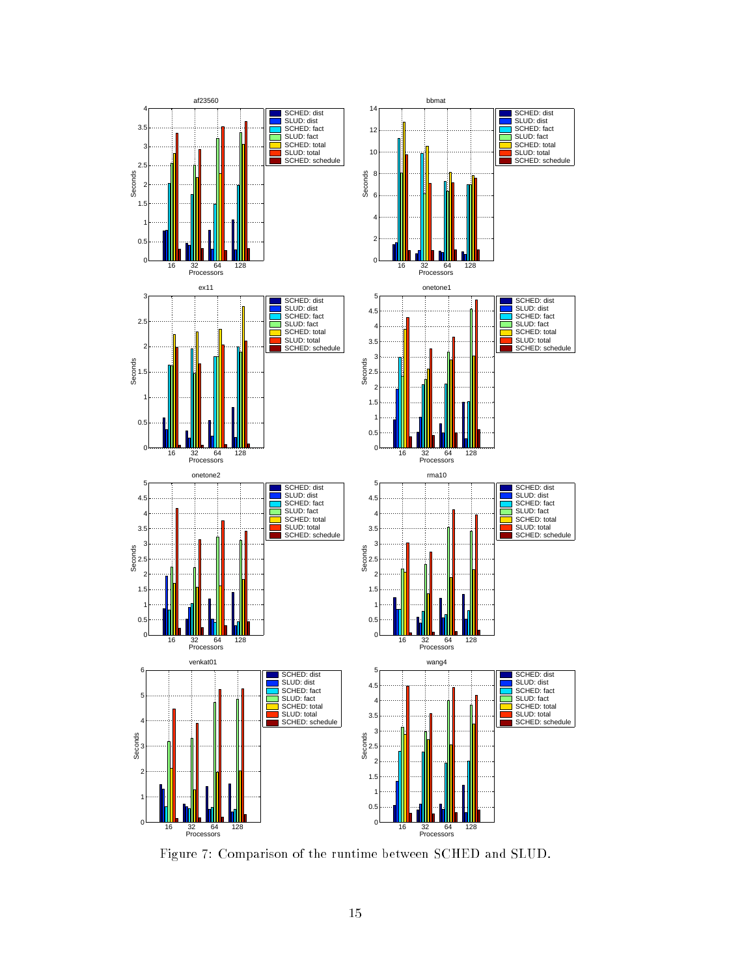

Figure 7: Comparison of the runtime between SCHED and SLUD.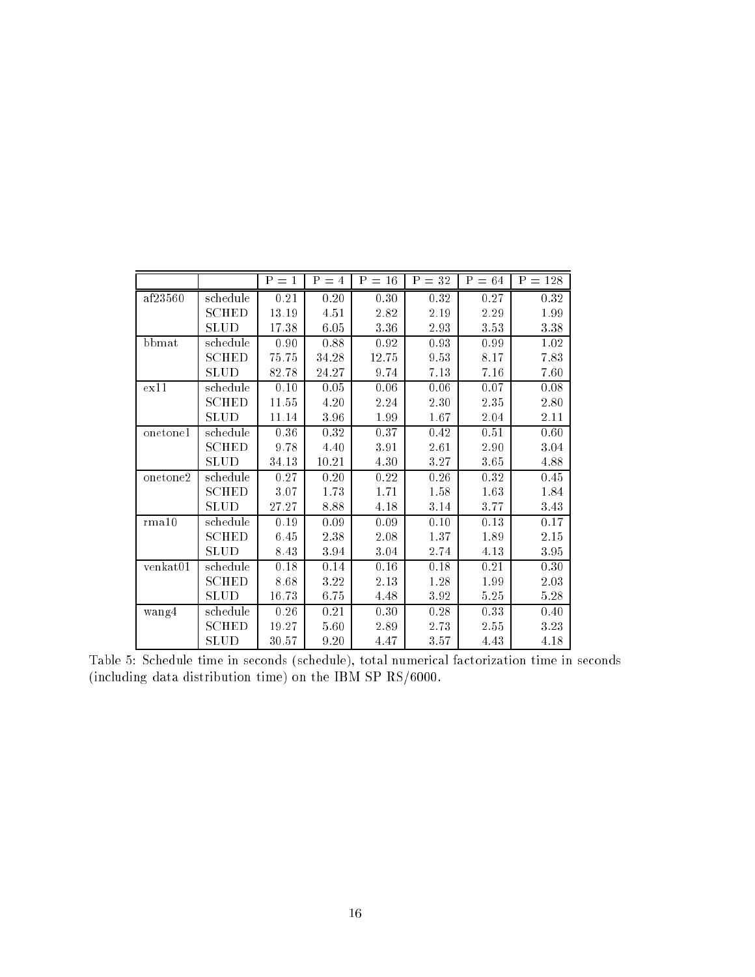|          |              | $P = 1$ | $P = 4$  | $P = 16$ | $P = 32$ | $P = 64$ | $P = 128$ |
|----------|--------------|---------|----------|----------|----------|----------|-----------|
| af23560  | schedule     | 0.21    | 0.20     | 0.30     | 0.32     | 0.27     | 0.32      |
|          | <b>SCHED</b> | 13.19   | 4.51     | 2.82     | 2.19     | 2.29     | 1.99      |
|          | <b>SLUD</b>  | 17.38   | 6.05     | 3.36     | 2.93     | 3.53     | 3.38      |
| bbmat    | schedule     | 0.90    | 0.88     | 0.92     | 0.93     | 0.99     | 1.02      |
|          | <b>SCHED</b> | 75.75   | 34.28    | 12.75    | 9.53     | 8.17     | 7.83      |
|          | SLUD         | 82.78   | 24.27    | 9.74     | 7.13     | 7.16     | 7.60      |
| ex11     | schedule     | 0.10    | 0.05     | 0.06     | 0.06     | 0.07     | 0.08      |
|          | <b>SCHED</b> | 11.55   | 4.20     | 2.24     | 2.30     | 2.35     | 2.80      |
|          | SLUD         | 11.14   | 3.96     | 1.99     | 1.67     | 2.04     | 2.11      |
| onetonel | schedule     | 0.36    | 0.32     | 0.37     | 0.42     | 0.51     | 0.60      |
|          | <b>SCHED</b> | 9.78    | 4.40     | 3.91     | 2.61     | 2.90     | 3.04      |
|          | <b>SLUD</b>  | 34.13   | 10.21    | 4.30     | 3.27     | 3.65     | 4.88      |
| onetone2 | schedule     | 0.27    | 0.20     | 0.22     | 0.26     | 0.32     | 0.45      |
|          | <b>SCHED</b> | 3.07    | 1.73     | 1.71     | 1.58     | 1.63     | 1.84      |
|          | <b>SLUD</b>  | 27.27   | 8.88     | 4.18     | 3.14     | 3.77     | 3.43      |
| rma10    | schedule     | 0.19    | 0.09     | 0.09     | 0.10     | 0.13     | 0.17      |
|          | <b>SCHED</b> | 6.45    | 2.38     | 2.08     | 1.37     | 1.89     | 2.15      |
|          | <b>SLUD</b>  | 8.43    | 3.94     | 3.04     | 2.74     | 4.13     | 3.95      |
| venkat01 | schedule     | 0.18    | 0.14     | 0.16     | 0.18     | 0.21     | 0.30      |
|          | <b>SCHED</b> | 8.68    | $3.22\,$ | 2.13     | 1.28     | 1.99     | 2.03      |
|          | <b>SLUD</b>  | 16.73   | 6.75     | 4.48     | $3\;92$  | 5.25     | $5.28\,$  |
| wang4    | schedule     | 0.26    | 0.21     | 0.30     | 0.28     | 0.33     | 0.40      |
|          | <b>SCHED</b> | 19.27   | 5.60     | 2.89     | 2.73     | 2.55     | 3.23      |
|          | <b>SLUD</b>  | 30.57   | 9.20     | 4.47     | 3.57     | 4.43     | 4.18      |

Table 5: Schedule time in seconds (schedule), total numerical factorization time in seconds (in
luding data distribution time) on the IBM SP RS/6000.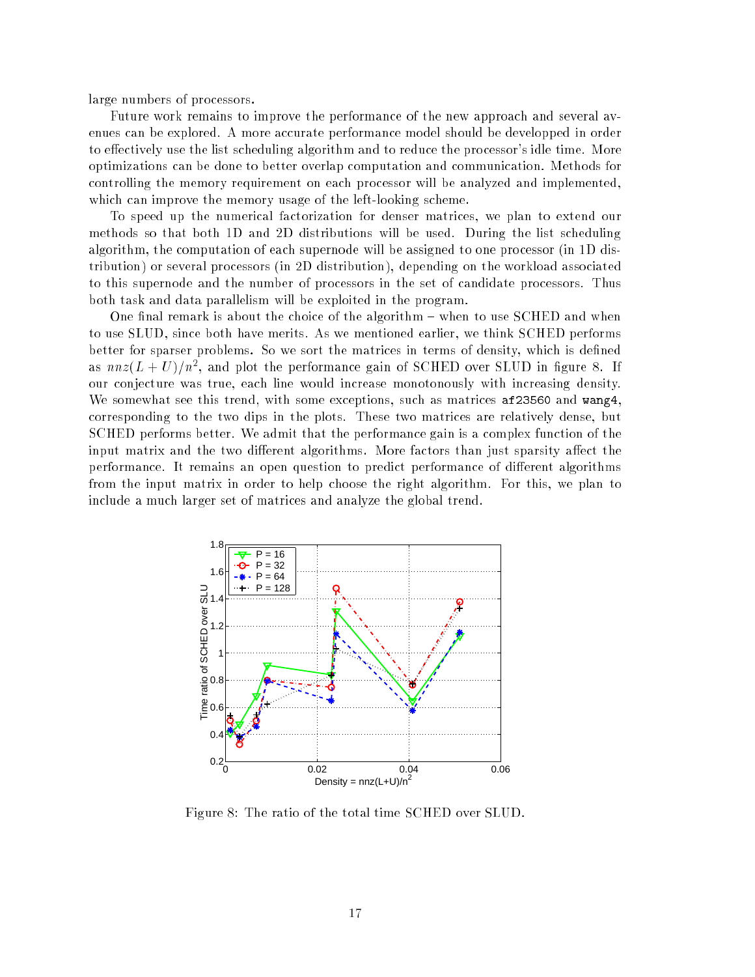large numbers of pro
essors.

Future work remains to improve the performan
e of the new approa
h and several avenues can be explored. A more accurate performance model should be developped in order to effectively use the list scheduling algorithm and to reduce the processor's idle time. More optimizations 
an be done to better overlap 
omputation and 
ommuni
ation. Methods for ontrolling the memory requirement on ea
h pro
essor will be analyzed and implemented, which can improve the memory usage of the left-looking scheme.

To speed up the numerical factorization for denser matrices, we plan to extend our methods so that both 1D and 2D distributions will be used. During the list s
heduling algorithm, the computation of each supernode will be assigned to one processor (in 1D distribution) or several pro
essors (in 2D distribution), depending on the workload asso
iated to this supernode and the number of pro
essors in the set of andidate pro
essors. Thus both task and data parallelism will be exploited in the program.

One final remark is about the choice of the algorithm – when to use SCHED and when to use SLUD, sin
e both have merits. As we mentioned earlier, we think SCHED performs better for sparser problems. So we sort the matrices in terms of density, which is defined as  $nnz(L+U)/n$ , and plot the performance gain of SURED over SLUD in figure 8. If our onje
ture was true, ea
h line would in
rease monotonously with in
reasing density. We somewhat see this trend, with some exceptions, such as matrices af23560 and wang4, orresponding to the two dips in the plots. These two matri
es are relatively dense, but SCHED performs better. We admit that the performance gain is a complex function of the input matrix and the two different algorithms. More factors than just sparsity affect the performance. It remains an open question to predict performance of different algorithms from the input matrix in order to help choose the right algorithm. For this, we plan to in
lude a mu
h larger set of matri
es and analyze the global trend.



Figure 8: The ratio of the total time SCHED over SLUD.